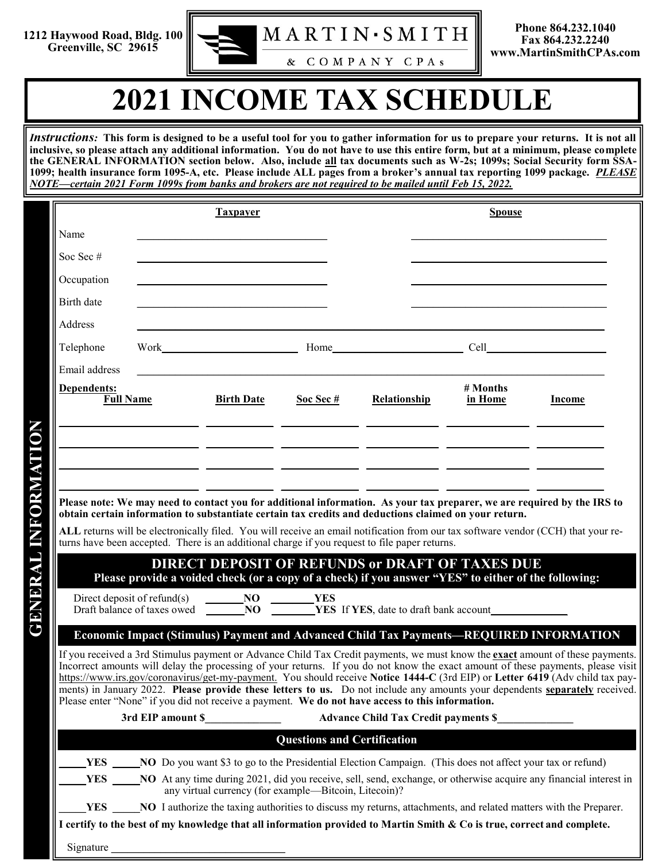

## **2021 INCOME TAX SCHEDULE**

*Instructions:* **This form is designed to be a useful tool for you to gather information for us to prepare your returns. It is not all inclusive, so please attach any additional information. You do not have to use this entire form, but at a minimum, please complete the GENERAL INFORMATION section below. Also, include all tax documents such as W-2s; 1099s; Social Security form SSA-1099; health insurance form 1095-A, etc. Please include ALL pages from a broker's annual tax reporting 1099 package.** *PLEASE NOTE—certain 2021 Form 1099s from banks and brokers are not required to be mailed until Feb 15, 2022.* 

|                                                                                                                                                                                                                                                                                                                                                                                                                                                                                                                                                                                                                                                                                                                                         | <b>Taxpayer</b>                                                                                                                                                                                                                                                                         |                                                             |                                    | <b>Spouse</b>                                                                                         |                     |                                                                                                                                   |
|-----------------------------------------------------------------------------------------------------------------------------------------------------------------------------------------------------------------------------------------------------------------------------------------------------------------------------------------------------------------------------------------------------------------------------------------------------------------------------------------------------------------------------------------------------------------------------------------------------------------------------------------------------------------------------------------------------------------------------------------|-----------------------------------------------------------------------------------------------------------------------------------------------------------------------------------------------------------------------------------------------------------------------------------------|-------------------------------------------------------------|------------------------------------|-------------------------------------------------------------------------------------------------------|---------------------|-----------------------------------------------------------------------------------------------------------------------------------|
| Name                                                                                                                                                                                                                                                                                                                                                                                                                                                                                                                                                                                                                                                                                                                                    |                                                                                                                                                                                                                                                                                         |                                                             |                                    |                                                                                                       |                     |                                                                                                                                   |
| Soc Sec #                                                                                                                                                                                                                                                                                                                                                                                                                                                                                                                                                                                                                                                                                                                               |                                                                                                                                                                                                                                                                                         | <u> 1989 - Johann Stoff, Amerikaansk politiker († 1908)</u> |                                    |                                                                                                       |                     |                                                                                                                                   |
| Occupation                                                                                                                                                                                                                                                                                                                                                                                                                                                                                                                                                                                                                                                                                                                              |                                                                                                                                                                                                                                                                                         | <u> 1980 - Johann Barbara, martxa alemaniar a</u>           |                                    |                                                                                                       |                     |                                                                                                                                   |
| Birth date                                                                                                                                                                                                                                                                                                                                                                                                                                                                                                                                                                                                                                                                                                                              |                                                                                                                                                                                                                                                                                         |                                                             |                                    |                                                                                                       |                     |                                                                                                                                   |
| Address                                                                                                                                                                                                                                                                                                                                                                                                                                                                                                                                                                                                                                                                                                                                 |                                                                                                                                                                                                                                                                                         |                                                             |                                    |                                                                                                       |                     |                                                                                                                                   |
| Telephone                                                                                                                                                                                                                                                                                                                                                                                                                                                                                                                                                                                                                                                                                                                               |                                                                                                                                                                                                                                                                                         |                                                             |                                    | Work Home Home Cell Cell                                                                              |                     |                                                                                                                                   |
| Email address                                                                                                                                                                                                                                                                                                                                                                                                                                                                                                                                                                                                                                                                                                                           |                                                                                                                                                                                                                                                                                         |                                                             |                                    |                                                                                                       |                     |                                                                                                                                   |
| Dependents:<br><b>Full Name</b>                                                                                                                                                                                                                                                                                                                                                                                                                                                                                                                                                                                                                                                                                                         |                                                                                                                                                                                                                                                                                         | <b>Birth Date</b>                                           | Soc Sec $#$                        | Relationship                                                                                          | # Months<br>in Home | <b>Income</b>                                                                                                                     |
|                                                                                                                                                                                                                                                                                                                                                                                                                                                                                                                                                                                                                                                                                                                                         |                                                                                                                                                                                                                                                                                         |                                                             |                                    |                                                                                                       |                     |                                                                                                                                   |
|                                                                                                                                                                                                                                                                                                                                                                                                                                                                                                                                                                                                                                                                                                                                         |                                                                                                                                                                                                                                                                                         |                                                             |                                    |                                                                                                       |                     |                                                                                                                                   |
|                                                                                                                                                                                                                                                                                                                                                                                                                                                                                                                                                                                                                                                                                                                                         |                                                                                                                                                                                                                                                                                         |                                                             |                                    |                                                                                                       |                     |                                                                                                                                   |
|                                                                                                                                                                                                                                                                                                                                                                                                                                                                                                                                                                                                                                                                                                                                         |                                                                                                                                                                                                                                                                                         |                                                             |                                    |                                                                                                       |                     |                                                                                                                                   |
|                                                                                                                                                                                                                                                                                                                                                                                                                                                                                                                                                                                                                                                                                                                                         |                                                                                                                                                                                                                                                                                         |                                                             |                                    |                                                                                                       |                     | Please note: We may need to contact you for additional information. As your tax preparer, we are required by the IRS to           |
|                                                                                                                                                                                                                                                                                                                                                                                                                                                                                                                                                                                                                                                                                                                                         |                                                                                                                                                                                                                                                                                         |                                                             |                                    | obtain certain information to substantiate certain tax credits and deductions claimed on your return. |                     | ALL returns will be electronically filed. You will receive an email notification from our tax software vendor (CCH) that your re- |
|                                                                                                                                                                                                                                                                                                                                                                                                                                                                                                                                                                                                                                                                                                                                         |                                                                                                                                                                                                                                                                                         |                                                             |                                    | turns have been accepted. There is an additional charge if you request to file paper returns.         |                     |                                                                                                                                   |
|                                                                                                                                                                                                                                                                                                                                                                                                                                                                                                                                                                                                                                                                                                                                         |                                                                                                                                                                                                                                                                                         |                                                             |                                    | <b>DIRECT DEPOSIT OF REFUNDS or DRAFT OF TAXES DUE</b>                                                |                     |                                                                                                                                   |
|                                                                                                                                                                                                                                                                                                                                                                                                                                                                                                                                                                                                                                                                                                                                         |                                                                                                                                                                                                                                                                                         |                                                             |                                    | Please provide a voided check (or a copy of a check) if you answer "YES" to either of the following:  |                     |                                                                                                                                   |
|                                                                                                                                                                                                                                                                                                                                                                                                                                                                                                                                                                                                                                                                                                                                         |                                                                                                                                                                                                                                                                                         |                                                             |                                    |                                                                                                       |                     |                                                                                                                                   |
|                                                                                                                                                                                                                                                                                                                                                                                                                                                                                                                                                                                                                                                                                                                                         |                                                                                                                                                                                                                                                                                         |                                                             |                                    |                                                                                                       |                     |                                                                                                                                   |
| Economic Impact (Stimulus) Payment and Advanced Child Tax Payments-REQUIRED INFORMATION<br>If you received a 3rd Stimulus payment or Advance Child Tax Credit payments, we must know the <b>exact</b> amount of these payments.<br>Incorrect amounts will delay the processing of your returns. If you do not know the exact amount of these payments, please visit<br>https://www.irs.gov/coronavirus/get-my-payment. You should receive Notice 1444-C (3rd EIP) or Letter 6419 (Adv child tax pay-<br>ments) in January 2022. Please provide these letters to us. Do not include any amounts your dependents separately received.<br>Please enter "None" if you did not receive a payment. We do not have access to this information. |                                                                                                                                                                                                                                                                                         |                                                             |                                    |                                                                                                       |                     |                                                                                                                                   |
|                                                                                                                                                                                                                                                                                                                                                                                                                                                                                                                                                                                                                                                                                                                                         |                                                                                                                                                                                                                                                                                         |                                                             |                                    |                                                                                                       |                     |                                                                                                                                   |
|                                                                                                                                                                                                                                                                                                                                                                                                                                                                                                                                                                                                                                                                                                                                         |                                                                                                                                                                                                                                                                                         |                                                             | <b>Questions and Certification</b> |                                                                                                       |                     |                                                                                                                                   |
| YES                                                                                                                                                                                                                                                                                                                                                                                                                                                                                                                                                                                                                                                                                                                                     |                                                                                                                                                                                                                                                                                         |                                                             |                                    |                                                                                                       |                     |                                                                                                                                   |
| <b>YES</b>                                                                                                                                                                                                                                                                                                                                                                                                                                                                                                                                                                                                                                                                                                                              | NO Do you want \$3 to go to the Presidential Election Campaign. (This does not affect your tax or refund)<br>NO At any time during 2021, did you receive, sell, send, exchange, or otherwise acquire any financial interest in<br>any virtual currency (for example—Bitcoin, Litecoin)? |                                                             |                                    |                                                                                                       |                     |                                                                                                                                   |
| <b>YES</b>                                                                                                                                                                                                                                                                                                                                                                                                                                                                                                                                                                                                                                                                                                                              | NO I authorize the taxing authorities to discuss my returns, attachments, and related matters with the Preparer.                                                                                                                                                                        |                                                             |                                    |                                                                                                       |                     |                                                                                                                                   |
|                                                                                                                                                                                                                                                                                                                                                                                                                                                                                                                                                                                                                                                                                                                                         |                                                                                                                                                                                                                                                                                         |                                                             |                                    |                                                                                                       |                     |                                                                                                                                   |

Signature **\_\_\_\_\_\_\_\_\_\_\_\_\_\_\_\_\_\_\_\_\_\_\_\_\_\_\_\_\_\_\_\_**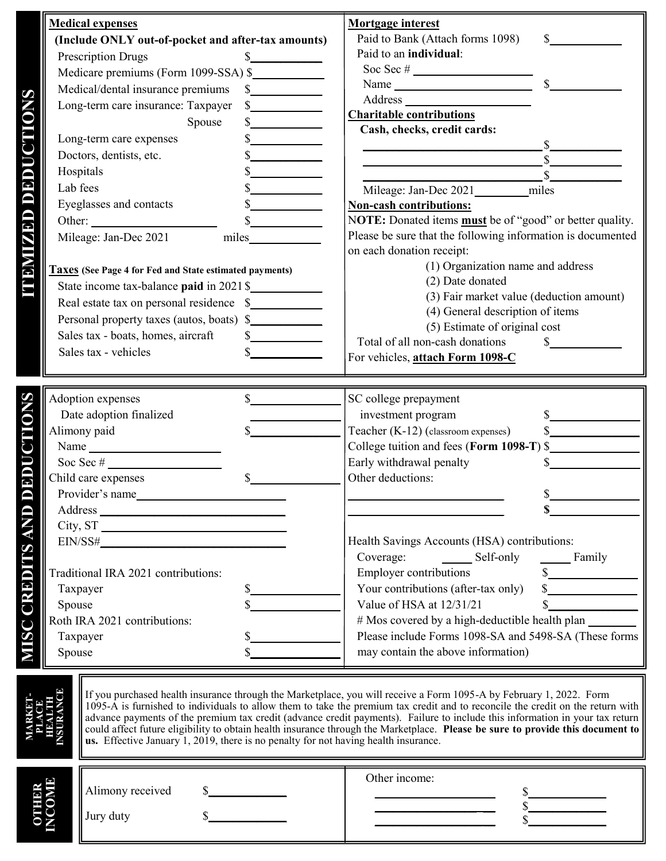|                        | <b>Medical expenses</b>                                                                   |                      | <b>Mortgage interest</b>                                                   |  |
|------------------------|-------------------------------------------------------------------------------------------|----------------------|----------------------------------------------------------------------------|--|
|                        | (Include ONLY out-of-pocket and after-tax amounts)                                        |                      | Paid to Bank (Attach forms 1098)<br>$\mathbb{S}$<br>Paid to an individual: |  |
|                        | <b>Prescription Drugs</b>                                                                 | $\mathbb{S}$         |                                                                            |  |
|                        | Medicare premiums (Form 1099-SSA) \$                                                      |                      |                                                                            |  |
|                        | Medical/dental insurance premiums                                                         | s                    |                                                                            |  |
| <b>TEMPER OF BRING</b> | Long-term care insurance: Taxpayer                                                        | $\frac{1}{2}$        | <b>Charitable contributions</b>                                            |  |
|                        | Spouse                                                                                    | $\frac{1}{2}$        | Cash, checks, credit cards:                                                |  |
|                        | Long-term care expenses                                                                   |                      |                                                                            |  |
|                        | Doctors, dentists, etc.                                                                   |                      | $\mathbb{S}$                                                               |  |
|                        | Hospitals                                                                                 |                      |                                                                            |  |
|                        | Lab fees                                                                                  |                      | Mileage: Jan-Dec 2021 ________ miles                                       |  |
|                        | Eyeglasses and contacts                                                                   |                      | <b>Non-cash contributions:</b>                                             |  |
|                        | Other:                                                                                    | $\frac{\sqrt{2}}{2}$ | NOTE: Donated items <b>must</b> be of "good" or better quality.            |  |
|                        | Mileage: Jan-Dec 2021                                                                     | miles                | Please be sure that the following information is documented                |  |
|                        |                                                                                           |                      | on each donation receipt:                                                  |  |
|                        |                                                                                           |                      | (1) Organization name and address                                          |  |
|                        | Taxes (See Page 4 for Fed and State estimated payments)                                   |                      | (2) Date donated                                                           |  |
|                        | State income tax-balance paid in 2021 \$                                                  |                      | (3) Fair market value (deduction amount)                                   |  |
|                        | Real estate tax on personal residence \$                                                  |                      | (4) General description of items                                           |  |
|                        | Personal property taxes (autos, boats) \$                                                 |                      | (5) Estimate of original cost                                              |  |
|                        | Sales tax - boats, homes, aircraft                                                        | $\frac{1}{2}$        | Total of all non-cash donations<br>$\mathbb{S}$                            |  |
|                        | Sales tax - vehicles                                                                      | $\mathbb{S}$         | For vehicles, attach Form 1098-C                                           |  |
|                        |                                                                                           |                      |                                                                            |  |
|                        |                                                                                           |                      |                                                                            |  |
| <b>ONS</b>             | Adoption expenses                                                                         | $\mathbb{S}$         | SC college prepayment                                                      |  |
|                        | Date adoption finalized                                                                   |                      | investment program                                                         |  |
|                        | Alimony paid                                                                              |                      | Teacher (K-12) (classroom expenses)<br>$\sim$                              |  |
|                        | Name                                                                                      |                      | College tuition and fees (Form 1098-T) \$                                  |  |
|                        | Soc Sec $#$                                                                               |                      | Early withdrawal penalty<br>$\mathbb{S}$                                   |  |
| ILONGE                 | Child care expenses                                                                       |                      | Other deductions:                                                          |  |
|                        | Provider's name                                                                           |                      |                                                                            |  |
|                        |                                                                                           |                      | \$                                                                         |  |
|                        | City, ST                                                                                  |                      |                                                                            |  |
|                        |                                                                                           |                      | Health Savings Accounts (HSA) contributions:                               |  |
|                        |                                                                                           |                      | Coverage:<br>Self-only Family                                              |  |
|                        | Traditional IRA 2021 contributions:                                                       |                      | Employer contributions<br>$\frac{1}{2}$                                    |  |
|                        | <b>MISC CREDITS AND</b><br>Taxpayer<br>Spouse<br>Roth IRA 2021 contributions:<br>Taxpayer |                      | $\frac{1}{2}$<br>Your contributions (after-tax only)                       |  |
|                        |                                                                                           |                      | $\frac{\text{S}}{\text{S}}$<br>Value of HSA at 12/31/21                    |  |
|                        |                                                                                           |                      | # Mos covered by a high-deductible health plan                             |  |
|                        |                                                                                           |                      | Please include Forms 1098-SA and 5498-SA (These forms                      |  |
|                        | Spouse                                                                                    |                      | may contain the above information)                                         |  |
|                        |                                                                                           |                      |                                                                            |  |
|                        |                                                                                           |                      |                                                                            |  |

| C<br>≃<br>īЭ.<br>57 | $\parallel$ Alimony received<br>   Jury duty | Other income: |
|---------------------|----------------------------------------------|---------------|
|---------------------|----------------------------------------------|---------------|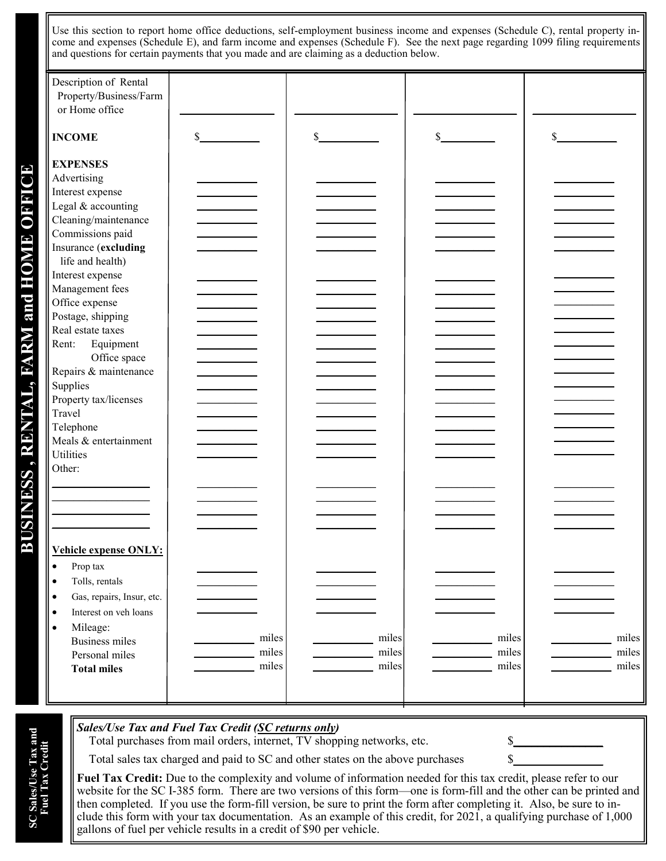Use this section to report home office deductions, self-employment business income and expenses (Schedule C), rental property income and expenses (Schedule E), and farm income and expenses (Schedule F). See the next page regarding 1099 filing requirements and questions for certain payments that you made and are claiming as a deduction below.

| Description of Rental<br>Property/Business/Farm<br>or Home office                                                                                                                                                                                                                                                                                                                                                                              |                         |                         |                         |                         |
|------------------------------------------------------------------------------------------------------------------------------------------------------------------------------------------------------------------------------------------------------------------------------------------------------------------------------------------------------------------------------------------------------------------------------------------------|-------------------------|-------------------------|-------------------------|-------------------------|
| <b>INCOME</b>                                                                                                                                                                                                                                                                                                                                                                                                                                  | \$                      | \$                      | \$                      | \$                      |
| <b>EXPENSES</b><br>Advertising<br>Interest expense<br>Legal & accounting<br>Cleaning/maintenance<br>Commissions paid<br>Insurance (excluding<br>life and health)<br>Interest expense<br>Management fees<br>Office expense<br>Postage, shipping<br>Real estate taxes<br>Equipment<br>Rent:<br>Office space<br>Repairs & maintenance<br>Supplies<br>Property tax/licenses<br>Travel<br>Telephone<br>Meals & entertainment<br>Utilities<br>Other: |                         |                         |                         |                         |
| Vehicle expense ONLY:<br>$\bullet$<br>Prop tax<br>Tolls, rentals<br>$\bullet$<br>Gas, repairs, Insur, etc.<br>$\bullet$<br>Interest on veh loans<br>$\bullet$<br>Mileage:<br>$\bullet$<br><b>Business miles</b><br>Personal miles<br><b>Total miles</b>                                                                                                                                                                                        | miles<br>miles<br>miles | miles<br>miles<br>miles | miles<br>miles<br>miles | miles<br>miles<br>miles |

Total purchases from mail orders, internet, TV shopping networks, etc.

Total sales tax charged and paid to SC and other states on the above purchases  $\$\$ 

**Fuel Tax Credit:** Due to the complexity and volume of information needed for this tax credit, please refer to our website for the SC I-385 form. There are two versions of this form—one is form-fill and the other can be printed and then completed. If you use the form-fill version, be sure to print the form after completing it. Also, be sure to include this form with your tax documentation. As an example of this credit, for 2021, a qualifying purchase of 1,000 gallons of fuel per vehicle results in a credit of \$90 per vehicle.

**SC Sales/Use Tax and Fuel Tax Credit**

**SC Sales/Use Tax and<br>Fuel Tax Credit**